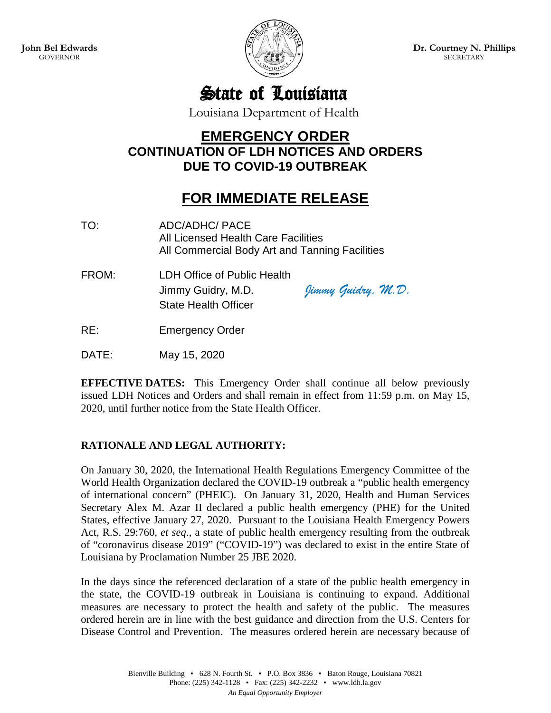

**Dr. Courtney N. Phillips SECRETARY** 

State of Louisiana

Louisiana Department of Health

## **EMERGENCY ORDER CONTINUATION OF LDH NOTICES AND ORDERS DUE TO COVID-19 OUTBREAK**

## **FOR IMMEDIATE RELEASE**

- TO: ADC/ADHC/ PACE All Licensed Health Care Facilities All Commercial Body Art and Tanning Facilities
- FROM: LDH Office of Public Health Jimmy Guidry, M.D. *Jimmy Guidry, M.D.* State Health Officer

RE: Emergency Order

DATE: May 15, 2020

**EFFECTIVE DATES:** This Emergency Order shall continue all below previously issued LDH Notices and Orders and shall remain in effect from 11:59 p.m. on May 15, 2020, until further notice from the State Health Officer.

## **RATIONALE AND LEGAL AUTHORITY:**

On January 30, 2020, the International Health Regulations Emergency Committee of the World Health Organization declared the COVID-19 outbreak a "public health emergency of international concern" (PHEIC). On January 31, 2020, Health and Human Services Secretary Alex M. Azar II declared a public health emergency (PHE) for the United States, effective January 27, 2020. Pursuant to the Louisiana Health Emergency Powers Act, R.S. 29:760, *et seq*., a state of public health emergency resulting from the outbreak of "coronavirus disease 2019" ("COVID-19") was declared to exist in the entire State of Louisiana by Proclamation Number 25 JBE 2020.

In the days since the referenced declaration of a state of the public health emergency in the state, the COVID-19 outbreak in Louisiana is continuing to expand. Additional measures are necessary to protect the health and safety of the public. The measures ordered herein are in line with the best guidance and direction from the U.S. Centers for Disease Control and Prevention. The measures ordered herein are necessary because of